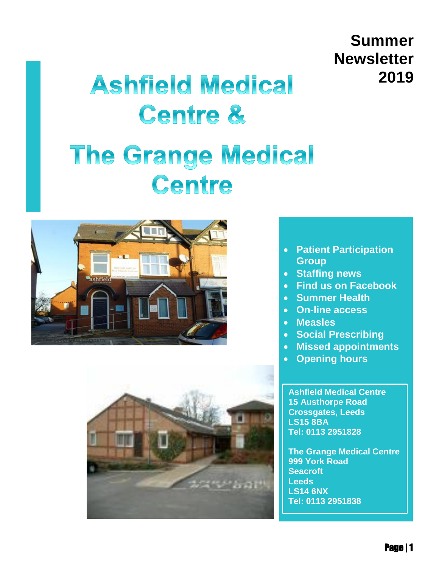# **Summer Newsletter 2019**

# **Ashfield Medical Centre &**

# **The Grange Medical** Centre





- **Patient Participation Group**
- **Staffing news**
- **Find us on Facebook**
- **Summer Health**
- **On-line access**
- **Measles**
- **Social Prescribing**
- **Missed appointments**
- **Opening hours**

**[Ashfield Medical Centre](http://maps.google.com/?saddr=Current%20Location&daddr=%20Ashfield%20Medical%20Centre15%20Austhorpe%20RoadCrossgates,%20LeedsLS15%208BA)  [15 Austhorpe Road](http://maps.google.com/?saddr=Current%20Location&daddr=%20Ashfield%20Medical%20Centre15%20Austhorpe%20RoadCrossgates,%20LeedsLS15%208BA)  [Crossgates, Leeds](http://maps.google.com/?saddr=Current%20Location&daddr=%20Ashfield%20Medical%20Centre15%20Austhorpe%20RoadCrossgates,%20LeedsLS15%208BA)  [LS15 8BA](http://maps.google.com/?saddr=Current%20Location&daddr=%20Ashfield%20Medical%20Centre15%20Austhorpe%20RoadCrossgates,%20LeedsLS15%208BA) Tel: 0113 2951828**

**[The Grange Medical Centre](http://maps.google.com/?saddr=Current%20Location&daddr=%20The%20Grange%20Medical%20Centre999%20York%20RoadSeacroftLeedsLS14%206NX)  [999 York Road](http://maps.google.com/?saddr=Current%20Location&daddr=%20The%20Grange%20Medical%20Centre999%20York%20RoadSeacroftLeedsLS14%206NX)  [Seacroft](http://maps.google.com/?saddr=Current%20Location&daddr=%20The%20Grange%20Medical%20Centre999%20York%20RoadSeacroftLeedsLS14%206NX)  [Leeds](http://maps.google.com/?saddr=Current%20Location&daddr=%20The%20Grange%20Medical%20Centre999%20York%20RoadSeacroftLeedsLS14%206NX)  [LS14 6NX](http://maps.google.com/?saddr=Current%20Location&daddr=%20The%20Grange%20Medical%20Centre999%20York%20RoadSeacroftLeedsLS14%206NX) Tel: 0113 2951838**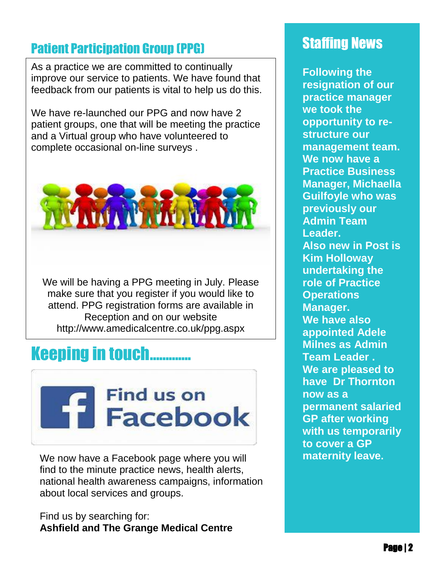# **Patient Participation Group (PPG)** Staffing News

. improve our service to patients. We have found that As a practice we are committed to continually feedback from our patients is vital to help us do this.

We have re-launched our PPG and now have 2 patient groups, one that will be meeting the practice and a Virtual group who have volunteered to complete occasional on-line surveys .



We will be having a PPG meeting in July. Please make sure that you register if you would like to attend. PPG registration forms are available in Reception and on our website http://www.amedicalcentre.co.uk/ppg.aspx

# **Keeping in touch...**



We now have a Facebook page where you will find to the minute practice news, health alerts, national health awareness campaigns, information about local services and groups.

Find us by searching for: **Ashfield and The Grange Medical Centre**

**Following the resignation of our practice manager we took the opportunity to restructure our management team. We now have a Practice Business Manager, Michaella Guilfoyle who was previously our Admin Team Leader. Also new in Post is Kim Holloway undertaking the role of Practice Operations Manager. We have also appointed Adele Milnes as Admin Team Leader . We are pleased to have Dr Thornton now as a permanent salaried GP after working with us temporarily to cover a GP maternity leave.**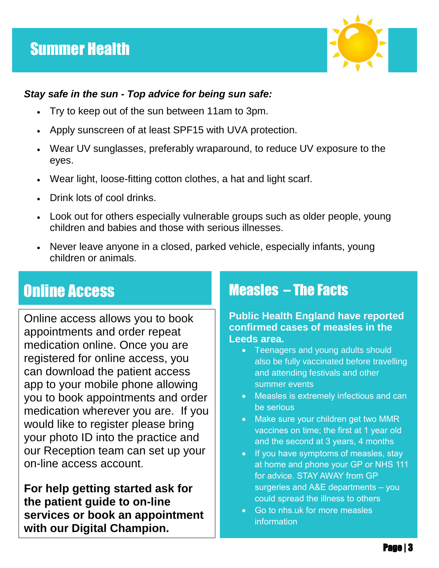

# *Stay safe in the sun - Top advice for being sun safe:*

- Try to keep out of the sun between 11am to 3pm.
- Apply sunscreen of at least SPF15 with UVA protection.
- Wear UV sunglasses, preferably wraparound, to reduce UV exposure to the eyes.
- Wear light, loose-fitting cotton clothes, a hat and light scarf.
- Drink lots of cool drinks.
- Look out for others especially vulnerable groups such as older people, young children and babies and those with serious illnesses.
- Never leave anyone in a closed, parked vehicle, especially infants, young children or animals.

#### nur nuvujo<br>Ind Online Access

Online access allows you to book appointments and order repeat medication online. Once you are registered for online access, you can download the patient access app to your mobile phone allowing you to book appointments and order medication wherever you are. If you would like to register please bring your photo ID into the practice and our Reception team can set up your on-line access account.

**For help getting started ask for the patient guide to on-line services or book an appointment with our Digital Champion.**

# Measles – The Facts

**Public Health England have reported confirmed cases of measles in the Leeds area.**

- Teenagers and young adults should also be fully vaccinated before travelling and attending festivals and other summer events
- Measles is extremely infectious and can be serious
- Make sure your children get two MMR vaccines on time; the first at 1 year old and the second at 3 years, 4 months
- If you have symptoms of measles, stay at home and phone your GP or NHS 111 for advice. STAY AWAY from GP surgeries and A&E departments – you could spread the illness to others
- Go to nhs.uk for more measles information